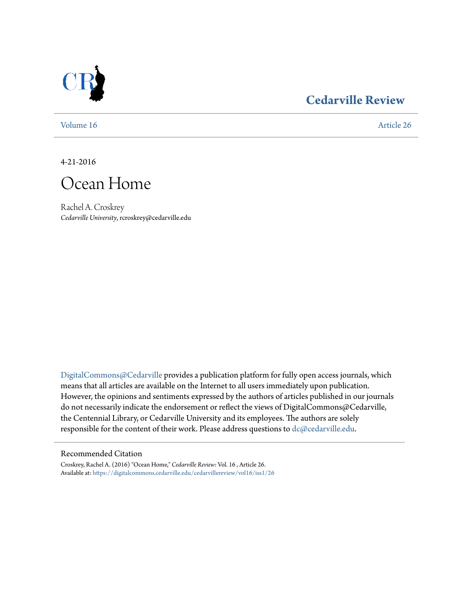

### **[Cedarville Review](https://digitalcommons.cedarville.edu/cedarvillereview?utm_source=digitalcommons.cedarville.edu%2Fcedarvillereview%2Fvol16%2Fiss1%2F26&utm_medium=PDF&utm_campaign=PDFCoverPages)**

[Volume 16](https://digitalcommons.cedarville.edu/cedarvillereview/vol16?utm_source=digitalcommons.cedarville.edu%2Fcedarvillereview%2Fvol16%2Fiss1%2F26&utm_medium=PDF&utm_campaign=PDFCoverPages) [Article 26](https://digitalcommons.cedarville.edu/cedarvillereview/vol16/iss1/26?utm_source=digitalcommons.cedarville.edu%2Fcedarvillereview%2Fvol16%2Fiss1%2F26&utm_medium=PDF&utm_campaign=PDFCoverPages)

4-21-2016

## Ocean Home

Rachel A. Croskrey *Cedarville University*, rcroskrey@cedarville.edu

[DigitalCommons@Cedarville](http://digitalcommons.cedarville.edu) provides a publication platform for fully open access journals, which means that all articles are available on the Internet to all users immediately upon publication. However, the opinions and sentiments expressed by the authors of articles published in our journals do not necessarily indicate the endorsement or reflect the views of DigitalCommons@Cedarville, the Centennial Library, or Cedarville University and its employees. The authors are solely responsible for the content of their work. Please address questions to [dc@cedarville.edu](mailto:dc@cedarville.edu).

#### Recommended Citation

Croskrey, Rachel A. (2016) "Ocean Home," *Cedarville Review*: Vol. 16 , Article 26. Available at: [https://digitalcommons.cedarville.edu/cedarvillereview/vol16/iss1/26](https://digitalcommons.cedarville.edu/cedarvillereview/vol16/iss1/26?utm_source=digitalcommons.cedarville.edu%2Fcedarvillereview%2Fvol16%2Fiss1%2F26&utm_medium=PDF&utm_campaign=PDFCoverPages)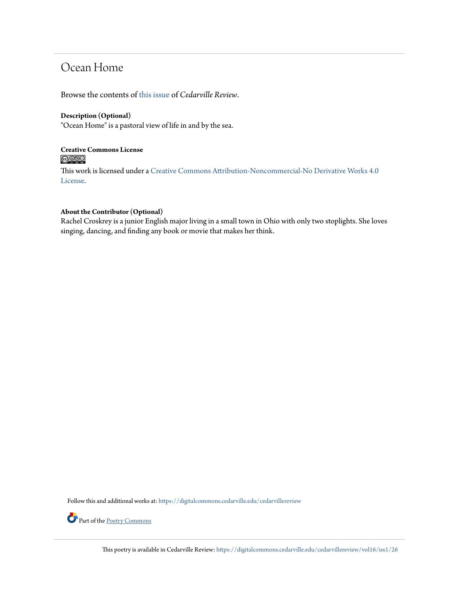## Ocean Home

Browse the contents of [this issue](https://digitalcommons.cedarville.edu/cedarvillereview/vol16/iss1) of *Cedarville Review*.

#### **Description (Optional)**

"Ocean Home" is a pastoral view of life in and by the sea.

#### **Creative Commons License**  $\bigcirc$   $\circ$

This work is licensed under a [Creative Commons Attribution-Noncommercial-No Derivative Works 4.0](http://creativecommons.org/licenses/by-nc-nd/4.0/) [License.](http://creativecommons.org/licenses/by-nc-nd/4.0/)

#### **About the Contributor (Optional)**

Rachel Croskrey is a junior English major living in a small town in Ohio with only two stoplights. She loves singing, dancing, and finding any book or movie that makes her think.

Follow this and additional works at: [https://digitalcommons.cedarville.edu/cedarvillereview](https://digitalcommons.cedarville.edu/cedarvillereview?utm_source=digitalcommons.cedarville.edu%2Fcedarvillereview%2Fvol16%2Fiss1%2F26&utm_medium=PDF&utm_campaign=PDFCoverPages)



Part of the [Poetry Commons](http://network.bepress.com/hgg/discipline/1153?utm_source=digitalcommons.cedarville.edu%2Fcedarvillereview%2Fvol16%2Fiss1%2F26&utm_medium=PDF&utm_campaign=PDFCoverPages)

This poetry is available in Cedarville Review: [https://digitalcommons.cedarville.edu/cedarvillereview/vol16/iss1/26](https://digitalcommons.cedarville.edu/cedarvillereview/vol16/iss1/26?utm_source=digitalcommons.cedarville.edu%2Fcedarvillereview%2Fvol16%2Fiss1%2F26&utm_medium=PDF&utm_campaign=PDFCoverPages)